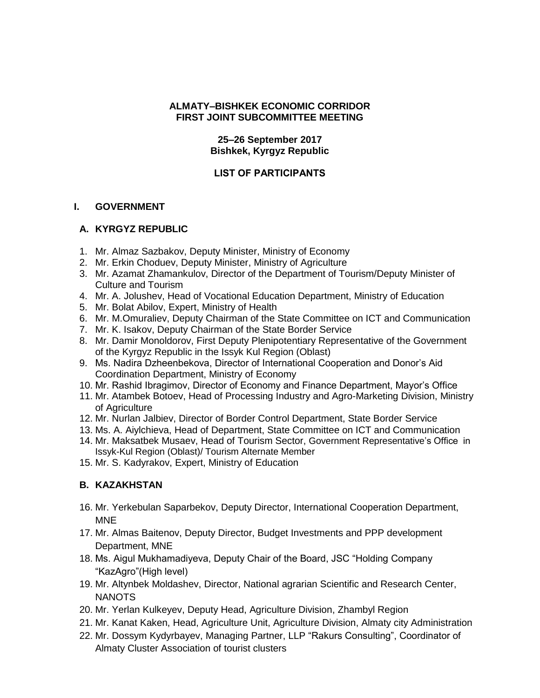### **ALMATY–BISHKEK ECONOMIC CORRIDOR FIRST JOINT SUBCOMMITTEE MEETING**

### **25–26 September 2017 Bishkek, Kyrgyz Republic**

## **LIST OF PARTICIPANTS**

#### **I. GOVERNMENT**

#### **A. KYRGYZ REPUBLIC**

- 1. Mr. Almaz Sazbakov, Deputy Minister, Ministry of Economy
- 2. Mr. Erkin Choduev, Deputy Minister, Ministry of Agriculture
- 3. Mr. Azamat Zhamankulov, Director of the Department of Tourism/Deputy Minister of Culture and Tourism
- 4. Mr. A. Jolushev, Head of Vocational Education Department, Ministry of Education
- 5. Mr. Bolat Abilov, Expert, Ministry of Health
- 6. Mr. M.Omuraliev, Deputy Chairman of the State Committee on ICT and Communication
- 7. Mr. K. Isakov, Deputy Chairman of the State Border Service
- 8. Mr. Damir Monoldorov, First Deputy Plenipotentiary Representative of the Government of the Kyrgyz Republic in the Issyk Kul Region (Oblast)
- 9. Ms. Nadira Dzheenbekova, Director of International Cooperation and Donor's Aid Coordination Department, Ministry of Economy
- 10. Mr. Rashid Ibragimov, Director of Economy and Finance Department, Mayor's Office
- 11. Mr. Atambek Botoev, Head of Processing Industry and Agro-Marketing Division, Ministry of Agriculture
- 12. Mr. Nurlan Jalbiev, Director of Border Control Department, State Border Service
- 13. Ms. A. Aiylchieva, Head of Department, State Committee on ICT and Communication
- 14. Mr. Maksatbek Musaev, Head of Tourism Sector, Government Representative's Office in Issyk-Kul Region (Oblast)/ Tourism Alternate Member
- 15. Mr. S. Kadyrakov, Expert, Ministry of Education

# **B. KAZAKHSTAN**

- 16. Mr. Yerkebulan Saparbekov, Deputy Director, International Cooperation Department, MNE
- 17. Mr. Almas Baitenov, Deputy Director, Budget Investments and PPP development Department, MNE
- 18. Ms. Aigul Mukhamadiyeva, Deputy Chair of the Board, JSC "Holding Company "KazAgro"(High level)
- 19. Mr. Altynbek Moldashev, Director, National agrarian Scientific and Research Center, NANOTS
- 20. Mr. Yerlan Kulkeyev, Deputy Head, Agriculture Division, Zhambyl Region
- 21. Mr. Kanat Kaken, Head, Agriculture Unit, Agriculture Division, Almaty city Administration
- 22. Mr. Dossym Kydyrbayev, Managing Partner, LLP "Rakurs Consulting", Coordinator of Almaty Cluster Association of tourist clusters